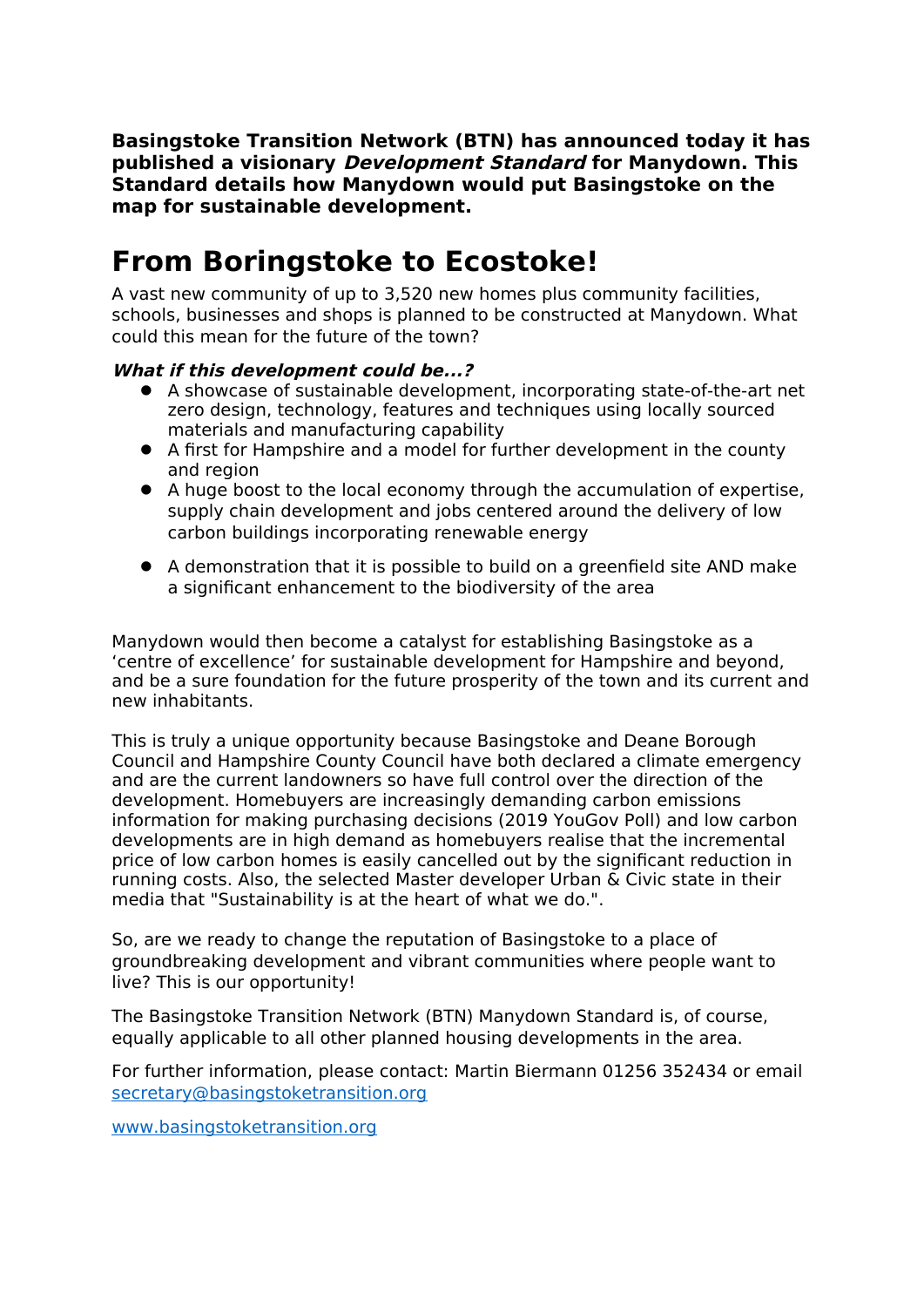**Basingstoke Transition Network (BTN) has announced today it has published a visionary Development Standard for Manydown. This Standard details how Manydown would put Basingstoke on the map for sustainable development.**

## **From Boringstoke to Ecostoke!**

A vast new community of up to 3,520 new homes plus community facilities, schools, businesses and shops is planned to be constructed at Manydown. What could this mean for the future of the town?

## **What if this development could be...?**

- A showcase of sustainable development, incorporating state-of-the-art net zero design, technology, features and techniques using locally sourced materials and manufacturing capability
- A first for Hampshire and a model for further development in the county and region
- A huge boost to the local economy through the accumulation of expertise, supply chain development and jobs centered around the delivery of low carbon buildings incorporating renewable energy
- A demonstration that it is possible to build on a greenfield site AND make a significant enhancement to the biodiversity of the area

Manydown would then become a catalyst for establishing Basingstoke as a 'centre of excellence' for sustainable development for Hampshire and beyond, and be a sure foundation for the future prosperity of the town and its current and new inhabitants.

This is truly a unique opportunity because Basingstoke and Deane Borough Council and Hampshire County Council have both declared a climate emergency and are the current landowners so have full control over the direction of the development. Homebuyers are increasingly demanding carbon emissions information for making purchasing decisions (2019 YouGov Poll) and low carbon developments are in high demand as homebuyers realise that the incremental price of low carbon homes is easily cancelled out by the significant reduction in running costs. Also, the selected Master developer Urban & Civic state in their media that "Sustainability is at the heart of what we do.".

So, are we ready to change the reputation of Basingstoke to a place of groundbreaking development and vibrant communities where people want to live? This is our opportunity!

The Basingstoke Transition Network (BTN) Manydown Standard is, of course, equally applicable to all other planned housing developments in the area.

For further information, please contact: Martin Biermann 01256 352434 or email secretary@basingstoketransition.org

www.basingstoketransition.org